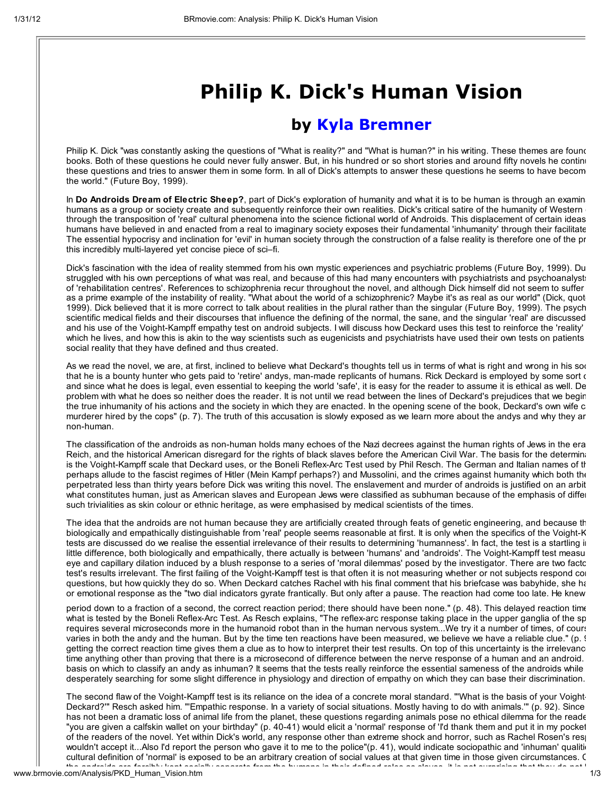## Philip K. Dick's Human Vision

## by Kyla Bremner

Philip K. Dick "was constantly asking the questions of "What is reality?" and "What is human?" in his writing. These themes are found books. Both of these questions he could never fully answer. But, in his hundred or so short stories and around fifty novels he continually these questions and tries to answer them in some form. In all of Dick's attempts to answer these questions he seems to have becom the world." (Future Boy, 1999).

In Do Androids Dream of Electric Sheep?, part of Dick's exploration of humanity and what it is to be human is through an examin humans as a group or society create and subsequently reinforce their own realities. Dick's critical satire of the humanity of Western through the transposition of 'real' cultural phenomena into the science fictional world of Androids. This displacement of certain ideas humans have believed in and enacted from a real to imaginary society exposes their fundamental 'inhumanity' through their facilitate The essential hypocrisy and inclination for 'evil' in human society through the construction of a false reality is therefore one of the pr this incredibly multi-layered yet concise piece of sci-fi.

Dick's fascination with the idea of reality stemmed from his own mystic experiences and psychiatric problems (Future Boy, 1999). Du struggled with his own perceptions of what was real, and because of this had many encounters with psychiatrists and psychoanalyst of 'rehabilitation centres'. References to schizophrenia recur throughout the novel, and although Dick himself did not seem to suffer as a prime example of the instability of reality. "What about the world of a schizophrenic? Maybe it's as real as our world" (Dick, quot 1999). Dick believed that it is more correct to talk about realities in the plural rather than the singular (Future Boy, 1999). The psych scientific medical fields and their discourses that influence the defining of the normal, the sane, and the singular 'real' are discussed and his use of the Voight-Kampff empathy test on android subjects. I will discuss how Deckard uses this test to reinforce the 'reality' which he lives, and how this is akin to the way scientists such as eugenicists and psychiatrists have used their own tests on patients social reality that they have defined and thus created.

As we read the novel, we are, at first, inclined to believe what Deckard's thoughts tell us in terms of what is right and wrong in his soc that he is a bounty hunter who gets paid to 'retire' andys, man-made replicants of humans. Rick Deckard is employed by some sort of and since what he does is legal, even essential to keeping the world 'safe', it is easy for the reader to assume it is ethical as well. De problem with what he does so neither does the reader. It is not until we read between the lines of Deckard's prejudices that we begir the true inhumanity of his actions and the society in which they are enacted. In the opening scene of the book, Deckard's own wife c murderer hired by the cops" (p. 7). The truth of this accusation is slowly exposed as we learn more about the andys and why they are non-human.

The classification of the androids as non-human holds many echoes of the Nazi decrees against the human rights of Jews in the era Reich, and the historical American disregard for the rights of black slaves before the American Civil War. The basis for the determination of humanity of humanity of humanity of humanity of humanity of humanity of humanity is the Voight-Kampff scale that Deckard uses, or the Boneli Reflex-Arc Test used by Phil Resch. The German and Italian names of the perhaps allude to the fascist regimes of Hitler (Mein Kampf perhaps?) and Mussolini, and the crimes against humanity which both the perpetrated less than thirty years before Dick was writing this novel. The enslavement and murder of androids is justified on an arbit what constitutes human, just as American slaves and European Jews were classified as subhuman because of the emphasis of difference based on the emphasis of difference based on the emphasis of difference based on the const such trivialities as skin colour or ethnic heritage, as were emphasised by medical scientists of the times.

The idea that the androids are not human because they are artificially created through feats of genetic engineering, and because the biologically and empathically distinguishable from 'real' people seems reasonable at first. It is only when the specifics of the Voight-K tests are discussed do we realise the essential irrelevance of their results to determining 'humanness'. In fact, the test is a startling in little difference, both biologically and empathically, there actually is between 'humans' and 'androids'. The Voight-Kampff test measure eye and capillary dilation induced by a blush response to a series of 'moral dilemmas' posed by the investigator. There are two factors test's results irrelevant. The first failing of the Voight-Kampff test is that often it is not measuring whether or not subjects respond correctly questions, but how quickly they do so. When Deckard catches Rachel with his final comment that his briefcase was babyhide, she has or emotional response as the "two dial indicators gyrate frantically. But only after a pause. The reaction had come too late. He knew

period down to a fraction of a second, the correct reaction period; there should have been none." (p. 48). This delayed reaction time what is tested by the Boneli Reflex-Arc Test. As Resch explains, "The reflex-arc response taking place in the upper ganglia of the sp requires several microseconds more in the humanoid robot than in the human nervous system...We try it a number of times, of cours varies in both the andy and the human. But by the time ten reactions have been measured, we believe we have a reliable clue." (p. 92-93). getting the correct reaction time gives them a clue as to how to interpret their test results. On top of this uncertainty is the irrelevance time anything other than proving that there is a microsecond of difference between the nerve response of a human and an android. basis on which to classify an andy as inhuman? It seems that the tests really reinforce the essential sameness of the androids while desperately searching for some slight difference in physiology and direction of empathy on which they can base their discrimination.

The second flaw of the Voight-Kampff test is its reliance on the idea of a concrete moral standard. "'What is the basis of your Voight-Kampff Deckard?" Resch asked him. "'Empathic response. In a variety of social situations. Mostly having to do with animals." (p. 92). Since has not been a dramatic loss of animal life from the planet, these questions regarding animals pose no ethical dilemma for the reade "you are given a calfskin wallet on your birthday" (p. 40-41) would elicit a 'normal' response of 'I'd thank them and put it in my pocket of the readers of the novel. Yet within Dick's world, any response other than extreme shock and horror, such as Rachel Rosen's res wouldn't accept it...Also I'd report the person who gave it to me to the police"(p. 41), would indicate sociopathic and 'inhuman' qualities cultural definition of 'normal' is exposed to be an arbitrary creation of social values at that given time in those given circumstances. Considering that that given time in those given circumstances. Considering that that the androids are forcibly kept socially separate from the humans in their defined roles as slaves, it is not surprising that they do not have exactly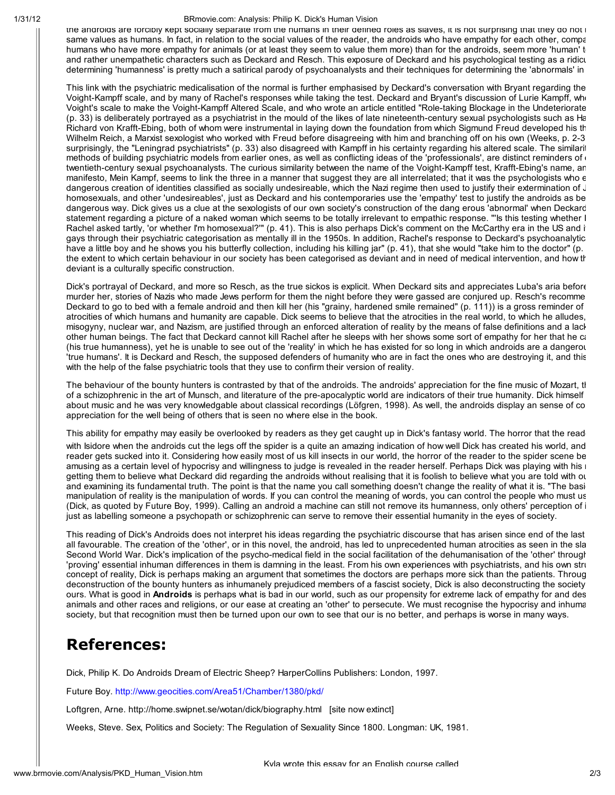## 1/31/12 BRmovie.com: Anal\sis: Philip K. Dick's Human Vision

the androids are forcibly kept socially separate from the numans in their defined roles as slaves, it is not surprising that they do not i same values as humans. In fact, in relation to the social values of the reader, the androids who have empathy for each other, compared to the reader to the reader. humans who have more empathy for animals (or at least they seem to value them more) than for the androids, seem more 'human' t and rather unempathetic characters such as Deckard and Resch. This exposure of Deckard and his psychological testing as a ridiculated determining 'humanness' is pretty much a satirical parody of psychoanalysts and their techniques for determining the 'abnormals' in

This link with the psychiatric medicalisation of the normal is further emphasised by Deckard's conversation with Bryant regarding the Voight-Kampff scale, and by many of Rachel's responses while taking the test. Deckard and Bryant's discussion of Lurie Kampff, who Voight's scale to make the Voight-Kampff Altered Scale, and who wrote an article entitled "Role-taking Blockage in the Undeteriorate (p. 33) is deliberately portrayed as a psychiatrist in the mould of the likes of late nineteenth-century sexual psychologists such as Ha Richard von Krafft-Ebing, both of whom were instrumental in laying down the foundation from which Sigmund Freud developed his the Wilhelm Reich, a Marxist sexologist who worked with Freud before disagreeing with him and branching off on his own (Weeks, p. 2-3). surprisingly, the "Leningrad psychiatrists" (p. 33) also disagreed with Kampff in his certainty regarding his altered scale. The similarity methods of building psychiatric models from earlier ones, as well as conflicting ideas of the 'professionals', are distinct reminders of twentieth-century sexual psychoanalysts. The curious similarity between the name of the Voight-Kampff test, Krafft-Ebing's name, ar manifesto, Mein Kampf, seems to link the three in a manner that suggest they are all interrelated; that it was the psychologists who  $\epsilon$ dangerous creation of identities classified as socially undesireable, which the Nazi regime then used to justify their extermination of  $\zeta$ homosexuals, and other 'undesireables', just as Deckard and his contemporaries use the 'empathy' test to justify the androids as be dangerous way. Dick gives us a clue at the sexologists of our own society's construction of the dang erous 'abnormal' when Deckarc statement regarding a picture of a naked woman which seems to be totally irrelevant to empathic response. "'Is this testing whether I Rachel asked tartly, 'or whether I'm homosexual?" (p. 41). This is also perhaps Dick's comment on the McCarthy era in the US and i gays through their psychiatric categorisation as mentally ill in the 1950s. In addition, Rachel's response to Deckard's psychoanalytic have a little boy and he shows you his butterfly collection, including his killing jar" (p. 41), that she would "take him to the doctor" (p. the extent to which certain behaviour in our society has been categorised as deviant and in need of medical intervention, and how the deviant is a culturally specific construction.

Dick's portrayal of Deckard, and more so Resch, as the true sickos is explicit. When Deckard sits and appreciates Luba's aria before murder her, stories of Nazis who made Jews perform for them the night before they were gassed are conjured up. Resch's recomme Deckard to go to bed with a female android and then kill her (his "grainy, hardened smile remained" (p. 111)) is a gross reminder of atrocities of which humans and humanity are capable. Dick seems to believe that the atrocities in the real world, to which he alludes, misogyny, nuclear war, and Nazism, are justified through an enforced alteration of reality by the means of false definitions and a lack other human beings. The fact that Deckard cannot kill Rachel after he sleeps with her shows some sort of empathy for her that he cannot (his true humanness), yet he is unable to see out of the 'reality' in which he has existed for so long in which androids are a dangerou 'true humans'. It is Deckard and Resch, the supposed defenders of humanity who are in fact the ones who are destroying it, and this is with the help of the false psychiatric tools that they use to confirm their version of reality.

The behaviour of the bounty hunters is contrasted by that of the androids. The androids' appreciation for the fine music of Mozart, tl of a schizophrenic in the art of Munsch, and literature of the pre-apocalyptic world are indicators of their true humanity. Dick himself about music and he was very knowledgable about classical recordings (Löfgren, 1998). As well, the androids display an sense of co appreciation for the well being of others that is seen no where else in the book.

This ability for empathy may easily be overlooked by readers as they get caught up in Dick's fantasy world. The horror that the read

with Isidore when the androids cut the legs off the spider is a quite an amazing indication of how well Dick has created his world, and reader gets sucked into it. Considering how easily most of us kill insects in our world, the horror of the reader to the spider scene be amusing as a certain level of hypocrisy and willingness to judge is revealed in the reader herself. Perhaps Dick was playing with his getting them to believe what Deckard did regarding the androids without realising that it is foolish to believe what you are told with ou and examining its fundamental truth. The point is that the name you call something doesn't change the reality of what it is. "The basi manipulation of reality is the manipulation of words. If you can control the meaning of words, you can control the people who must us (Dick, as quoted by Future Boy, 1999). Calling an android a machine can still not remove its humanness, only others' perception of i just as labelling someone a psychopath or schizophrenic can serve to remove their essential humanity in the eyes of society.

This reading of Dick's Androids does not interpret his ideas regarding the psychiatric discourse that has arisen since end of the last all favourable. The creation of the 'other', or in this novel, the android, has led to unprecedented human atrocities as seen in the sla Second World War. Dick's implication of the psycho-medical field in the social facilitation of the dehumanisation of the 'other' through 'proving' essential inhuman differences in them is damning in the least. From his own experiences with psychiatrists, and his own strug concept of reality, Dick is perhaps making an argument that sometimes the doctors are perhaps more sick than the patients. Throug deconstruction of the bounty hunters as inhumanely prejudiced members of a fascist society, Dick is also deconstructing the society ours. What is good in Androids is perhaps what is bad in our world, such as our propensity for extreme lack of empathy for and des animals and other races and religions, or our ease at creating an 'other' to persecute. We must recognise the hypocrisy and inhuma society, but that recognition must then be turned upon our own to see that our is no better, and perhaps is worse in many ways.

## References:

Dick, Philip K. Do Androids Dream of Electric Sheep? HarperCollins Publishers: London, 1997.

Future Boy. http://www.geocities.com/Area51/Chamber/1380/pkd/

Loftgren, Arne. http://home.swipnet.se/wotan/dick/biography.html [site now extinct]

Weeks, Steve. Sex, Politics and Society: The Regulation of Sexuality Since 1800. Longman: UK, 1981.